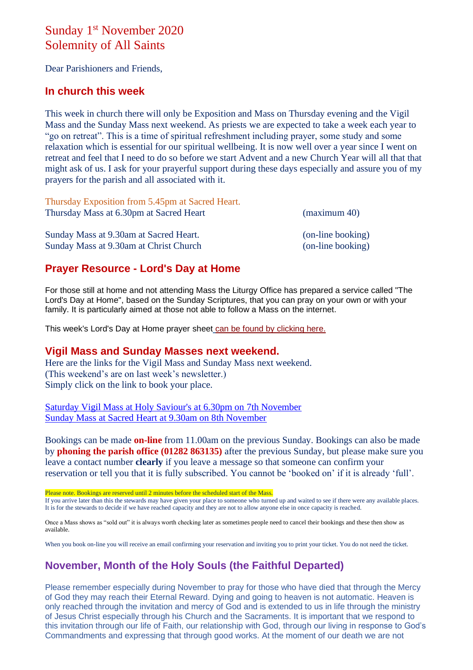# Sunday 1<sup>st</sup> November 2020 Solemnity of All Saints

Dear Parishioners and Friends,

#### **In church this week**

This week in church there will only be Exposition and Mass on Thursday evening and the Vigil Mass and the Sunday Mass next weekend. As priests we are expected to take a week each year to "go on retreat". This is a time of spiritual refreshment including prayer, some study and some relaxation which is essential for our spiritual wellbeing. It is now well over a year since I went on retreat and feel that I need to do so before we start Advent and a new Church Year will all that that might ask of us. I ask for your prayerful support during these days especially and assure you of my prayers for the parish and all associated with it.

| Thursday Exposition from 5.45pm at Sacred Heart.<br>Thursday Mass at 6.30pm at Sacred Heart | $(\text{maximum } 40)$ |
|---------------------------------------------------------------------------------------------|------------------------|
| Sunday Mass at 9.30am at Sacred Heart.                                                      | (on-line booking)      |
| Sunday Mass at 9.30am at Christ Church                                                      | (on-line booking)      |

### **Prayer Resource - Lord's Day at Home**

For those still at home and not attending Mass the Liturgy Office has prepared a service called "The Lord's Day at Home", based on the Sunday Scriptures, that you can pray on your own or with your family. It is particularly aimed at those not able to follow a Mass on the internet.

This week's Lord's Day at Home prayer sheet [can be found by clicking here.](https://dioceseofsalford.us6.list-manage.com/track/click?u=76e219dab8653b775ba8aac4c&id=a3ad6b8806&e=5ce69633f0)

#### **Vigil Mass and Sunday Masses next weekend.**

Here are the links for the Vigil Mass and Sunday Mass next weekend. (This weekend's are on last week's newsletter.) Simply click on the link to book your place.

[Saturday Vigil Mass at Holy Saviour's at 6.30pm on 7th November](https://www.eventbrite.co.uk/e/saturday-vigil-mass-630pm-holy-saviours-nelson-7th-november-tickets-126996801853) [Sunday Mass at Sacred Heart at 9.30am on 8th November](https://www.eventbrite.co.uk/e/sunday-mass-930am-sacred-heart-colne-8th-november-2020-tickets-127177161313)

Bookings can be made **on-line** from 11.00am on the previous Sunday. Bookings can also be made by **phoning the parish office (01282 863135)** after the previous Sunday, but please make sure you leave a contact number **clearly** if you leave a message so that someone can confirm your reservation or tell you that it is fully subscribed. You cannot be 'booked on' if it is already 'full'.

Please note. Bookings are reserved until 2 minutes before the scheduled start of the Mass.

If you arrive later than this the stewards may have given your place to someone who turned up and waited to see if there were any available places. It is for the stewards to decide if we have reached capacity and they are not to allow anyone else in once capacity is reached.

Once a Mass shows as "sold out" it is always worth checking later as sometimes people need to cancel their bookings and these then show as available.

When you book on-line you will receive an email confirming your reservation and inviting you to print your ticket. You do not need the ticket.

## **November, Month of the Holy Souls (the Faithful Departed)**

Please remember especially during November to pray for those who have died that through the Mercy of God they may reach their Eternal Reward. Dying and going to heaven is not automatic. Heaven is only reached through the invitation and mercy of God and is extended to us in life through the ministry of Jesus Christ especially through his Church and the Sacraments. It is important that we respond to this invitation through our life of Faith, our relationship with God, through our living in response to God's Commandments and expressing that through good works. At the moment of our death we are not